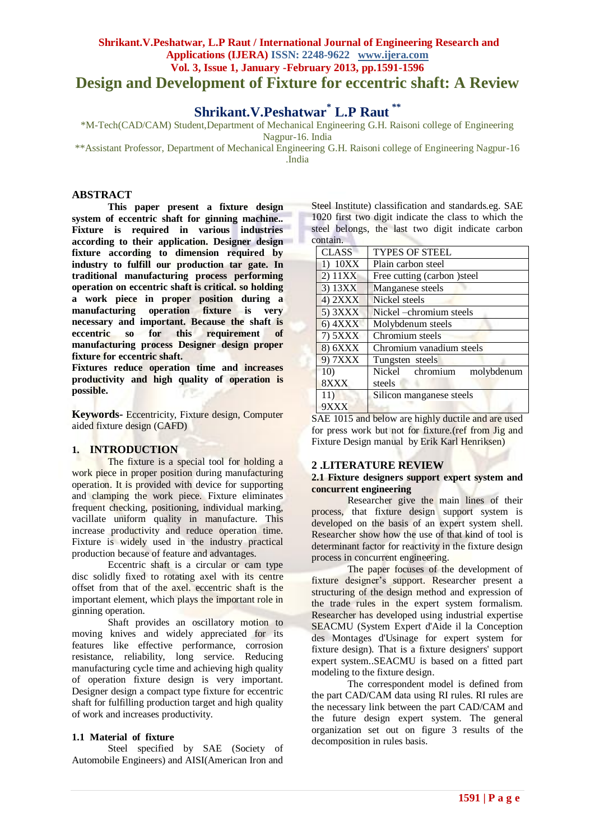# **Shrikant.V.Peshatwar, L.P Raut / International Journal of Engineering Research and Applications (IJERA) ISSN: 2248-9622 www.ijera.com Vol. 3, Issue 1, January -February 2013, pp.1591-1596 Design and Development of Fixture for eccentric shaft: A Review**

# **Shrikant.V.Peshatwar\* L.P Raut** *\*\**

\*M-Tech(CAD/CAM) Student,Department of Mechanical Engineering G.H. Raisoni college of Engineering Nagpur-16. India

\*\*Assistant Professor, Department of Mechanical Engineering G.H. Raisoni college of Engineering Nagpur-16 .India

## **ABSTRACT**

**This paper present a fixture design system of eccentric shaft for ginning machine.. Fixture is required in various industries according to their application. Designer design fixture according to dimension required by industry to fulfill our production tar gate. In traditional manufacturing process performing operation on eccentric shaft is critical. so holding a work piece in proper position during a manufacturing operation fixture is very necessary and important. Because the shaft is eccentric so for this requirement of manufacturing process Designer design proper fixture for eccentric shaft.**

**Fixtures reduce operation time and increases productivity and high quality of operation is possible.** 

**Keywords-** Eccentricity, Fixture design, Computer aided fixture design (CAFD)

# **1. INTRODUCTION**

The fixture is a special tool for holding a work piece in proper position during manufacturing operation. It is provided with device for supporting and clamping the work piece. Fixture eliminates frequent checking, positioning, individual marking, vacillate uniform quality in manufacture. This increase productivity and reduce operation time. Fixture is widely used in the industry practical production because of feature and advantages.

Eccentric shaft is a circular or cam type disc solidly fixed to rotating axel with its centre offset from that of the axel. eccentric shaft is the important element, which plays the important role in ginning operation.

Shaft provides an oscillatory motion to moving knives and widely appreciated for its features like effective performance, corrosion resistance, reliability, long service. Reducing manufacturing cycle time and achieving high quality of operation fixture design is very important. Designer design a compact type fixture for eccentric shaft for fulfilling production target and high quality of work and increases productivity.

## **1.1 Material of fixture**

Steel specified by SAE (Society of Automobile Engineers) and AISI(American Iron and Steel Institute) classification and standards.eg. SAE 1020 first two digit indicate the class to which the steel belongs, the last two digit indicate carbon contain.

| <b>CLASS</b>    | <b>TYPES OF STEEL</b>         |
|-----------------|-------------------------------|
| $1)$ 10XX       | Plain carbon steel            |
| 2) 11XX         | Free cutting (carbon) steel   |
| 3) 13XX         | Manganese steels              |
| $4)$ $2XXX$     | Nickel steels                 |
| $5)$ $3XXX$     | Nickel -chromium steels       |
| $6)$ $4XXX$     | Molybdenum steels             |
| $7)$ 5 $XXX$    | Chromium steels               |
| 8) 6XXX         | Chromium vanadium steels      |
| 9) 7XXX         | Tungsten steels               |
| 10 <sub>0</sub> | Nickel chromium<br>molybdenum |
| 8XXX            | steels                        |
| 11)             | Silicon manganese steels      |
| 9XXX            |                               |

SAE 1015 and below are highly ductile and are used for press work but not for fixture.(ref from Jig and Fixture Design manual by Erik Karl Henriksen)

## **2 .LITERATURE REVIEW**

#### **2.1 Fixture designers support expert system and concurrent engineering**

Researcher give the main lines of their process, that fixture design support system is developed on the basis of an expert system shell. Researcher show how the use of that kind of tool is determinant factor for reactivity in the fixture design process in concurrent engineering.

The paper focuses of the development of fixture designer"s support. Researcher present a structuring of the design method and expression of the trade rules in the expert system formalism. Researcher has developed using industrial expertise SEACMU (System Expert d'Aide il la Conception des Montages d'Usinage for expert system for fixture design). That is a fixture designers' support expert system..SEACMU is based on a fitted part modeling to the fixture design.

The correspondent model is defined from the part CAD/CAM data using RI rules. RI rules are the necessary link between the part CAD/CAM and the future design expert system. The general organization set out on figure 3 results of the decomposition in rules basis.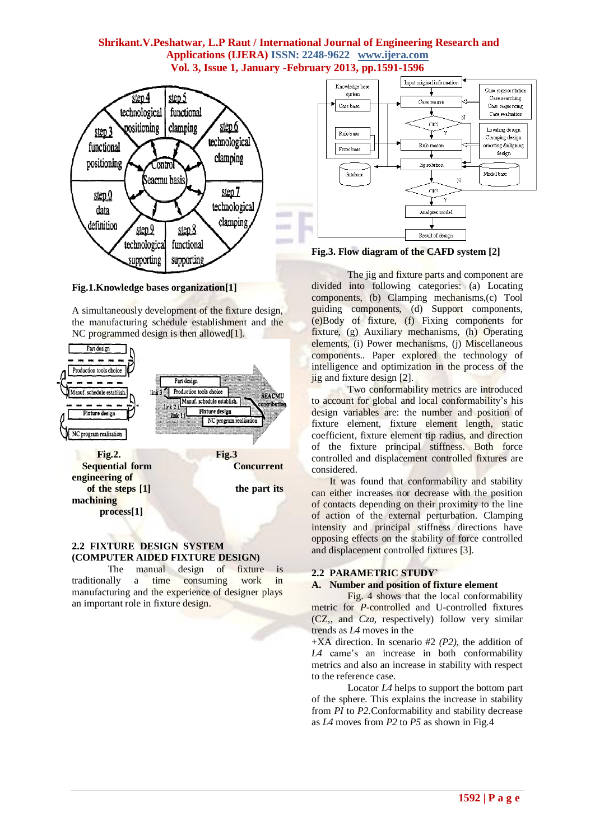

**Fig.1.Knowledge bases organization[1]**

A simultaneously development of the fixture design, the manufacturing schedule establishment and the NC programmed design is then allowed $[1]$ .



## **2.2 FIXTURE DESIGN SYSTEM (COMPUTER AIDED FIXTURE DESIGN)**

The manual design of fixture is traditionally a time consuming work in manufacturing and the experience of designer plays an important role in fixture design.



**Fig.3. Flow diagram of the CAFD system [2]**

The jig and fixture parts and component are divided into following categories: (a) Locating components, (b) Clamping mechanisms,(c) Tool guiding components, (d) Support components, (e)Body of fixture, (f) Fixing components for fixture, (g) Auxiliary mechanisms, (h) Operating elements, (i) Power mechanisms, (j) Miscellaneous components.. Paper explored the technology of intelligence and optimization in the process of the jig and fixture design [2].

Two conformability metrics are introduced to account for global and local conformability's his design variables are: the number and position of fixture element, fixture element length, static coefficient, fixture element tip radius, and direction of the fixture principal stiffness. Both force controlled and displacement controlled fixtures are considered.

It was found that conformability and stability can either increases nor decrease with the position of contacts depending on their proximity to the line of action of the external perturbation. Clamping intensity and principal stiffness directions have opposing effects on the stability of force controlled and displacement controlled fixtures [3].

# **2.2 PARAMETRIC STUDY`**

# **A. Number and position of fixture element**

Fig. 4 shows that the local conformability metric for *P-*controlled and U-controlled fixtures (CZ,, and *Cza,* respectively) follow very similar trends as *L4* moves in the

+XA direction. In scenario #2 *(P2),* the addition of L4 came's an increase in both conformability metrics and also an increase in stability with respect to the reference case.

Locator *L4* helps to support the bottom part of the sphere. This explains the increase in stability from *PI* to *P2.*Conformability and stability decrease as *L4* moves from *P2* to *P5* as shown in Fig.4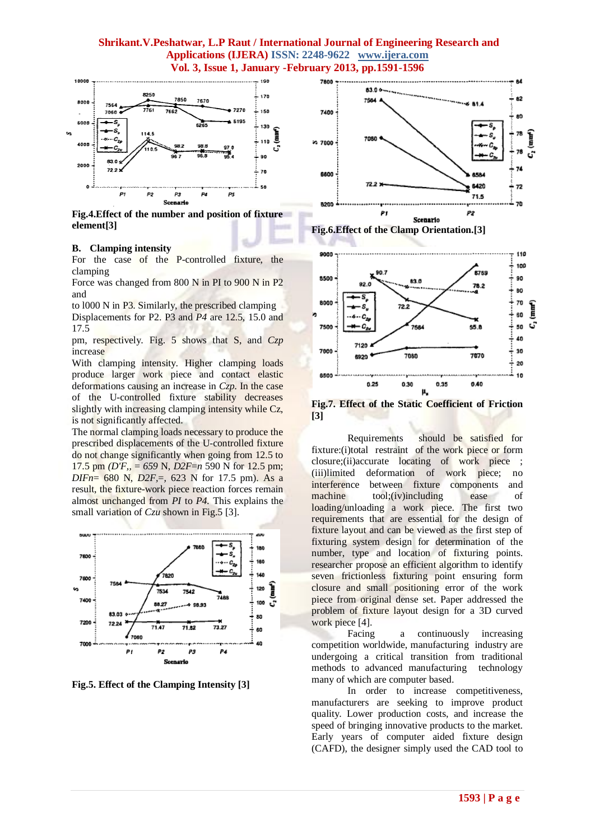

**Fig.4.Effect of the number and position of fixture element[3]**

## **B. Clamping intensity**

For the case of the P-controlled fixture, the clamping

Force was changed from 800 N in PI to 900 N in P2 and

to l000 N in P3. Similarly, the prescribed clamping Displacements for P2. P3 and *P4* are 12.5, 15.0 and 17.5

pm, respectively. Fig. 5 shows that S, and *Czp*  increase

With clamping intensity. Higher clamping loads produce larger work piece and contact elastic deformations causing an increase in *Czp.* In the case of the U-controlled fixture stability decreases slightly with increasing clamping intensity while Cz, is not significantly affected.

The normal clamping loads necessary to produce the prescribed displacements of the U-controlled fixture do not change significantly when going from 12.5 to 17.5 pm *(D'F,,* = *659* N, *D2F*=*n* 590 N for 12.5 pm; *DIFn*= 680 N, *D2F,*=*,* 623 N for 17.5 pm). As a result, the fixture-work piece reaction forces remain almost unchanged from *PI* to *P4.* This explains the small variation of *Czu* shown in Fig. 5 [3].



**Fig.5. Effect of the Clamping Intensity [3]**





**Fig.7. Effect of the Static Coefficient of Friction [3]**

Requirements should be satisfied for fixture:(i)total restraint of the work piece or form closure;(ii)accurate locating of work piece ; (iii)limited deformation of work piece; no interference between fixture components and machine tool;(iv)including ease of loading/unloading a work piece. The first two requirements that are essential for the design of fixture layout and can be viewed as the first step of fixturing system design for determination of the number, type and location of fixturing points. researcher propose an efficient algorithm to identify seven frictionless fixturing point ensuring form closure and small positioning error of the work piece from original dense set. Paper addressed the problem of fixture layout design for a 3D curved work piece [4].

Facing a continuously increasing competition worldwide, manufacturing industry are undergoing a critical transition from traditional methods to advanced manufacturing technology many of which are computer based.

In order to increase competitiveness, manufacturers are seeking to improve product quality. Lower production costs, and increase the speed of bringing innovative products to the market. Early years of computer aided fixture design (CAFD), the designer simply used the CAD tool to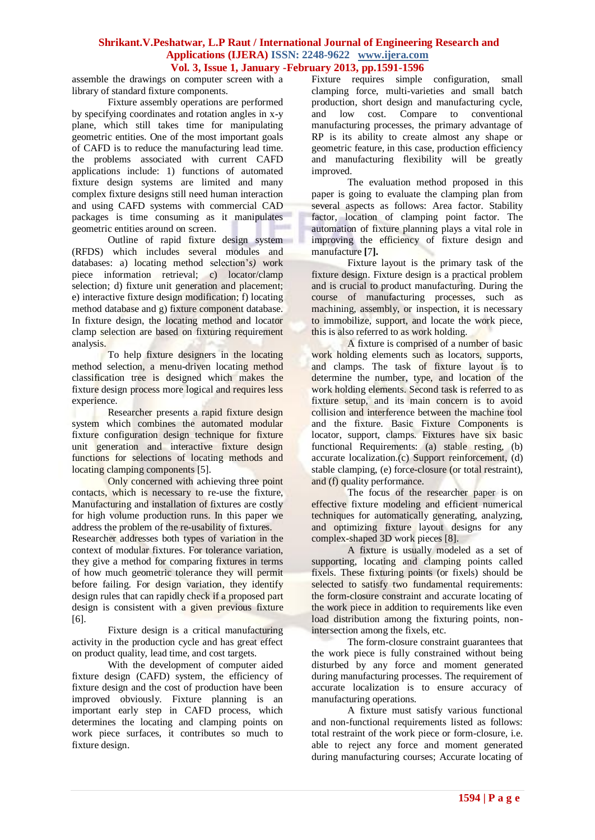assemble the drawings on computer screen with a library of standard fixture components.

Fixture assembly operations are performed by specifying coordinates and rotation angles in x-y plane, which still takes time for manipulating geometric entities. One of the most important goals of CAFD is to reduce the manufacturing lead time. the problems associated with current CAFD applications include: 1) functions of automated fixture design systems are limited and many complex fixture designs still need human interaction and using CAFD systems with commercial CAD packages is time consuming as it manipulates geometric entities around on screen.

Outline of rapid fixture design system (RFDS) which includes several modules and databases: a) locating method selection"*s)* work piece information retrieval; c) locator/clamp selection; d) fixture unit generation and placement; e) interactive fixture design modification; f) locating method database and g) fixture component database. In fixture design, the locating method and locator clamp selection are based on fixturing requirement analysis.

To help fixture designers in the locating method selection, a menu-driven locating method classification tree is designed which makes the fixture design process more logical and requires less experience.

Researcher presents a rapid fixture design system which combines the automated modular fixture configuration design technique for fixture unit generation and interactive fixture design functions for selections of locating methods and locating clamping components [5].

Only concerned with achieving three point contacts, which is necessary to re-use the fixture, Manufacturing and installation of fixtures are costly for high volume production runs. In this paper we address the problem of the re-usability of fixtures.

Researcher addresses both types of variation in the context of modular fixtures. For tolerance variation, they give a method for comparing fixtures in terms of how much geometric tolerance they will permit before failing. For design variation, they identify design rules that can rapidly check if a proposed part design is consistent with a given previous fixture [6].

Fixture design is a critical manufacturing activity in the production cycle and has great effect on product quality, lead time, and cost targets.

With the development of computer aided fixture design (CAFD) system, the efficiency of fixture design and the cost of production have been improved obviously. Fixture planning is an important early step in CAFD process, which determines the locating and clamping points on work piece surfaces, it contributes so much to fixture design.

Fixture requires simple configuration, small clamping force, multi-varieties and small batch production, short design and manufacturing cycle, and low cost. Compare to conventional manufacturing processes, the primary advantage of RP is its ability to create almost any shape or geometric feature, in this case, production efficiency and manufacturing flexibility will be greatly improved.

The evaluation method proposed in this paper is going to evaluate the clamping plan from several aspects as follows: Area factor. Stability factor, location of clamping point factor. The automation of fixture planning plays a vital role in improving the efficiency of fixture design and manufacture **[**7**].**

Fixture layout is the primary task of the fixture design. Fixture design is a practical problem and is crucial to product manufacturing. During the course of manufacturing processes, such as machining, assembly, or inspection, it is necessary to immobilize, support, and locate the work piece, this is also referred to as work holding.

A fixture is comprised of a number of basic work holding elements such as locators, supports, and clamps. The task of fixture layout is to determine the number, type, and location of the work holding elements. Second task is referred to as fixture setup, and its main concern is to avoid collision and interference between the machine tool and the fixture. Basic Fixture Components is locator, support, clamps. Fixtures have six basic functional Requirements: (a) stable resting, (b) accurate localization.(c) Support reinforcement, (d) stable clamping, (e) force-closure (or total restraint), and (f) quality performance.

The focus of the researcher paper is on effective fixture modeling and efficient numerical techniques for automatically generating, analyzing, and optimizing fixture layout designs for any complex-shaped 3D work pieces [8].

A fixture is usually modeled as a set of supporting, locating and clamping points called fixels. These fixturing points (or fixels) should be selected to satisfy two fundamental requirements: the form-closure constraint and accurate locating of the work piece in addition to requirements like even load distribution among the fixturing points, nonintersection among the fixels, etc.

The form-closure constraint guarantees that the work piece is fully constrained without being disturbed by any force and moment generated during manufacturing processes. The requirement of accurate localization is to ensure accuracy of manufacturing operations.

A fixture must satisfy various functional and non-functional requirements listed as follows: total restraint of the work piece or form-closure, i.e. able to reject any force and moment generated during manufacturing courses; Accurate locating of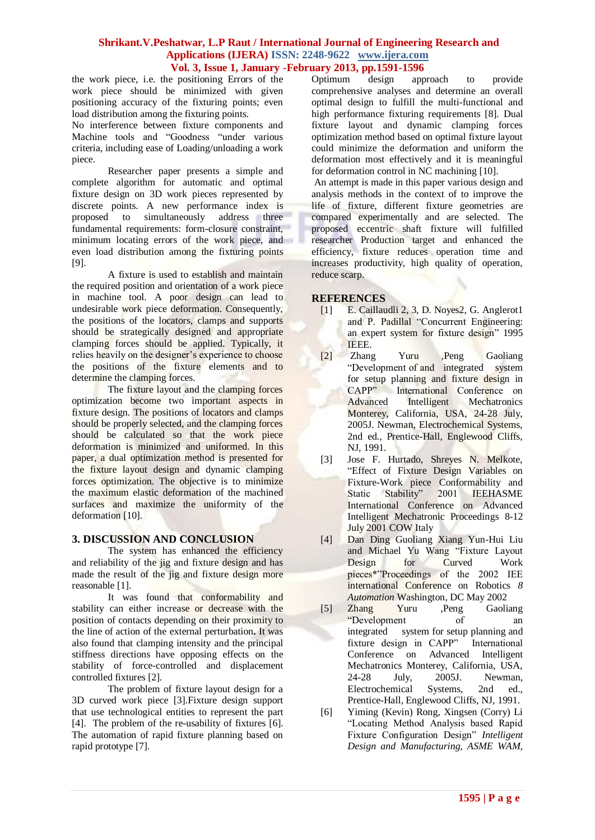the work piece, i.e. the positioning Errors of the work piece should be minimized with given positioning accuracy of the fixturing points; even load distribution among the fixturing points.

No interference between fixture components and Machine tools and "Goodness "under various criteria, including ease of Loading/unloading a work piece.

Researcher paper presents a simple and complete algorithm for automatic and optimal fixture design on 3D work pieces represented by discrete points. A new performance index is proposed to simultaneously address three fundamental requirements: form-closure constraint, minimum locating errors of the work piece, and even load distribution among the fixturing points [9].

A fixture is used to establish and maintain the required position and orientation of a work piece in machine tool. A poor design can lead to undesirable work piece deformation. Consequently, the positions of the locators, clamps and supports should be strategically designed and appropriate clamping forces should be applied. Typically, it relies heavily on the designer's experience to choose the positions of the fixture elements and to determine the clamping forces.

The fixture layout and the clamping forces optimization become two important aspects in fixture design. The positions of locators and clamps should be properly selected, and the clamping forces should be calculated so that the work piece deformation is minimized and uniformed. In this paper, a dual optimization method is presented for the fixture layout design and dynamic clamping forces optimization. The objective is to minimize the maximum elastic deformation of the machined surfaces and maximize the uniformity of the deformation [10].

# **3. DISCUSSION AND CONCLUSION**

The system has enhanced the efficiency and reliability of the jig and fixture design and has made the result of the jig and fixture design more reasonable [1].

It was found that conformability and stability can either increase or decrease with the position of contacts depending on their proximity to the line of action of the external perturbation**.** It was also found that clamping intensity and the principal stiffness directions have opposing effects on the stability of force-controlled and displacement controlled fixtures [2].

The problem of fixture layout design for a 3D curved work piece [3].Fixture design support that use technological entities to represent the part [4]. The problem of the re-usability of fixtures [6]. The automation of rapid fixture planning based on rapid prototype [7].

Optimum design approach to provide comprehensive analyses and determine an overall optimal design to fulfill the multi-functional and high performance fixturing requirements [8]. Dual fixture layout and dynamic clamping forces optimization method based on optimal fixture layout could minimize the deformation and uniform the deformation most effectively and it is meaningful for deformation control in NC machining [10].

An attempt is made in this paper various design and analysis methods in the context of to improve the life of fixture, different fixture geometries are compared experimentally and are selected. The proposed eccentric shaft fixture will fulfilled researcher Production target and enhanced the efficiency, fixture reduces operation time and increases productivity, high quality of operation, reduce scarp.

# **REFERENCES**

- [1] E. Caillaudli 2, 3, D. Noyes2, G. Anglerot1 and P. Padillal "Concurrent Engineering: an expert system for fixture design" 1995 IEEE.
- [2] Zhang Yuru ,Peng Gaoliang "Development of and integrated system for setup planning and fixture design in<br>CAPP" International Conference on International Conference on Advanced Intelligent Mechatronics Monterey, California, USA, 24-28 July, 2005J. Newman, Electrochemical Systems, 2nd ed., Prentice-Hall, Englewood Cliffs, NJ, 1991.
- [3] Jose F. Hurtado, Shreyes N. Melkote, "Effect of Fixture Design Variables on Fixture-Work piece Conformability and Static Stability" 2001 IEEHASME International Conference on Advanced Intelligent Mechatronic Proceedings 8-12 July 2001 COW Italy
- [4] Dan Ding Guoliang Xiang Yun-Hui Liu and Michael Yu Wang "Fixture Layout Design for Curved Work pieces\*"Proceedings of the 2002 IEE international Conference on Robotics *8 Automation* Washington, DC May 2002
- [5] Zhang Yuru ,Peng Gaoliang "Development of an integrated system for setup planning and fixture design in CAPP" International Conference on Advanced Intelligent Mechatronics Monterey, California, USA, 24-28 July, 2005J. Newman, Electrochemical Systems, 2nd ed., Prentice-Hall, Englewood Cliffs, NJ, 1991.
- [6] Yiming (Kevin) Rong, Xingsen (Corry) Li "Locating Method Analysis based Rapid Fixture Configuration Design" *Intelligent Design and Manufacturing, ASME WAM,*